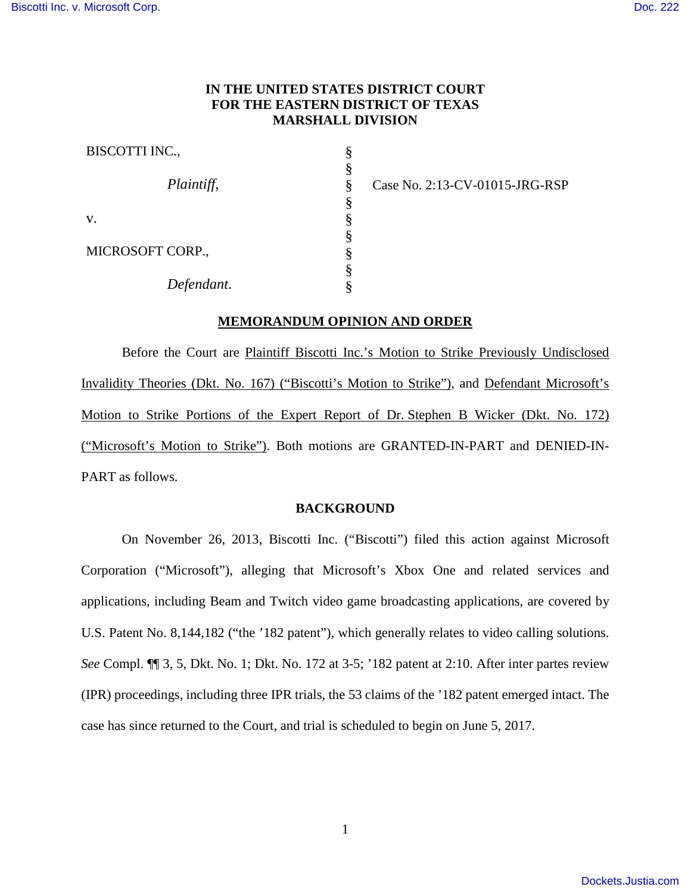# **IN THE UNITED STATES DISTRICT COURT FOR THE EASTERN DISTRICT OF TEXAS MARSHALL DIVISION**

| BISCOTTI INC.,   |  |
|------------------|--|
| Plaintiff,       |  |
|                  |  |
| V.               |  |
| MICROSOFT CORP., |  |
|                  |  |
| Defendant.       |  |

Case No. 2:13-CV-01015-JRG-RSP

# **MEMORANDUM OPINION AND ORDER**

Before the Court are Plaintiff Biscotti Inc.'s Motion to Strike Previously Undisclosed Invalidity Theories (Dkt. No. 167) ("Biscotti's Motion to Strike"), and Defendant Microsoft's Motion to Strike Portions of the Expert Report of Dr. Stephen B Wicker (Dkt. No. 172) ("Microsoft's Motion to Strike"). Both motions are GRANTED-IN-PART and DENIED-IN-PART as follows.

# **BACKGROUND**

On November 26, 2013, Biscotti Inc. ("Biscotti") filed this action against Microsoft Corporation ("Microsoft"), alleging that Microsoft's Xbox One and related services and applications, including Beam and Twitch video game broadcasting applications, are covered by U.S. Patent No. 8,144,182 ("the '182 patent"), which generally relates to video calling solutions. *See* Compl. ¶¶ 3, 5, Dkt. No. 1; Dkt. No. 172 at 3-5; '182 patent at 2:10. After inter partes review (IPR) proceedings, including three IPR trials, the 53 claims of the '182 patent emerged intact. The case has since returned to the Court, and trial is scheduled to begin on June 5, 2017.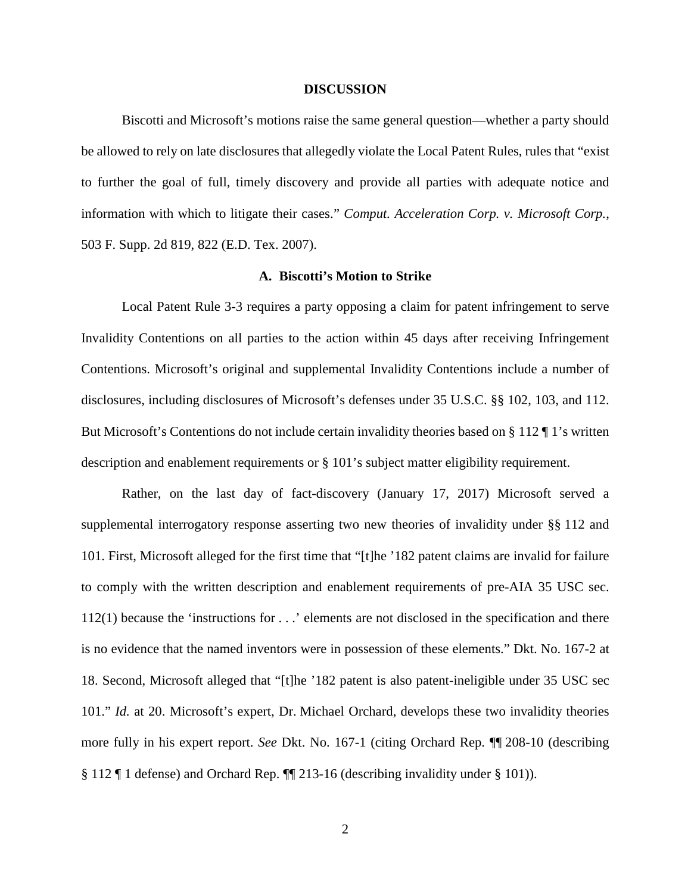#### **DISCUSSION**

Biscotti and Microsoft's motions raise the same general question—whether a party should be allowed to rely on late disclosures that allegedly violate the Local Patent Rules, rules that "exist to further the goal of full, timely discovery and provide all parties with adequate notice and information with which to litigate their cases." *Comput. Acceleration Corp. v. Microsoft Corp.*, 503 F. Supp. 2d 819, 822 (E.D. Tex. 2007).

# **A. Biscotti's Motion to Strike**

Local Patent Rule 3-3 requires a party opposing a claim for patent infringement to serve Invalidity Contentions on all parties to the action within 45 days after receiving Infringement Contentions. Microsoft's original and supplemental Invalidity Contentions include a number of disclosures, including disclosures of Microsoft's defenses under 35 U.S.C. §§ 102, 103, and 112. But Microsoft's Contentions do not include certain invalidity theories based on § 112 ¶ 1's written description and enablement requirements or § 101's subject matter eligibility requirement.

Rather, on the last day of fact-discovery (January 17, 2017) Microsoft served a supplemental interrogatory response asserting two new theories of invalidity under §§ 112 and 101. First, Microsoft alleged for the first time that "[t]he '182 patent claims are invalid for failure to comply with the written description and enablement requirements of pre-AIA 35 USC sec. 112(1) because the 'instructions for . . .' elements are not disclosed in the specification and there is no evidence that the named inventors were in possession of these elements." Dkt. No. 167-2 at 18. Second, Microsoft alleged that "[t]he '182 patent is also patent-ineligible under 35 USC sec 101." *Id.* at 20. Microsoft's expert, Dr. Michael Orchard, develops these two invalidity theories more fully in his expert report. *See* Dkt. No. 167-1 (citing Orchard Rep. ¶¶ 208-10 (describing § 112 ¶ 1 defense) and Orchard Rep. ¶¶ 213-16 (describing invalidity under § 101)).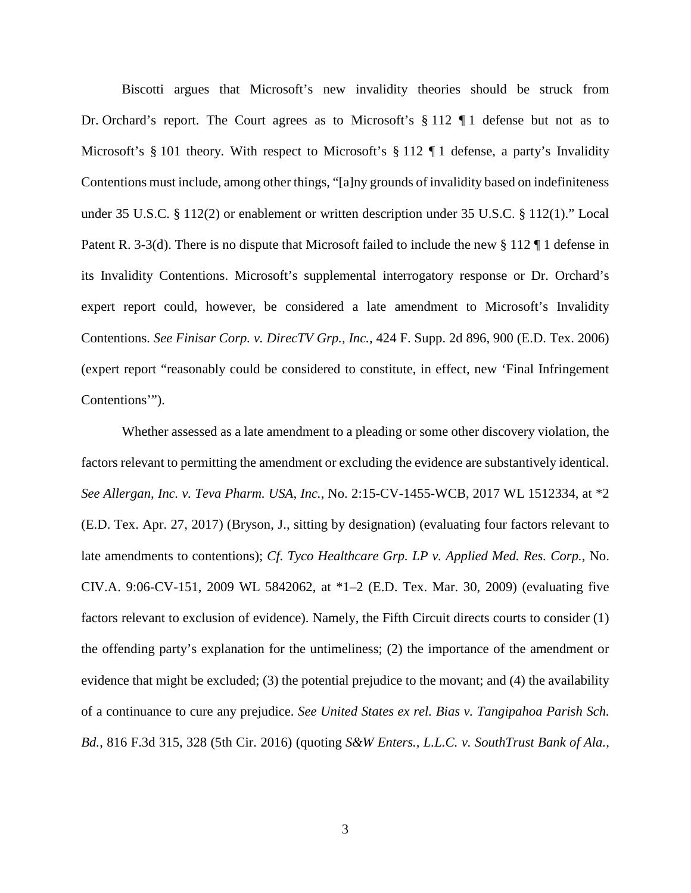Biscotti argues that Microsoft's new invalidity theories should be struck from Dr. Orchard's report. The Court agrees as to Microsoft's § 112 ¶ 1 defense but not as to Microsoft's § 101 theory. With respect to Microsoft's § 112 ¶ 1 defense, a party's Invalidity Contentions must include, among other things, "[a]ny grounds of invalidity based on indefiniteness under 35 U.S.C. § 112(2) or enablement or written description under 35 U.S.C. § 112(1)." Local Patent R. 3-3(d). There is no dispute that Microsoft failed to include the new § 112 ¶ 1 defense in its Invalidity Contentions. Microsoft's supplemental interrogatory response or Dr. Orchard's expert report could, however, be considered a late amendment to Microsoft's Invalidity Contentions. *See Finisar Corp. v. DirecTV Grp., Inc.*, 424 F. Supp. 2d 896, 900 (E.D. Tex. 2006) (expert report "reasonably could be considered to constitute, in effect, new 'Final Infringement Contentions'").

Whether assessed as a late amendment to a pleading or some other discovery violation, the factors relevant to permitting the amendment or excluding the evidence are substantively identical. *See Allergan, Inc. v. Teva Pharm. USA, Inc.*, No. 2:15-CV-1455-WCB, 2017 WL 1512334, at \*2 (E.D. Tex. Apr. 27, 2017) (Bryson, J., sitting by designation) (evaluating four factors relevant to late amendments to contentions); *Cf. Tyco Healthcare Grp. LP v. Applied Med. Res. Corp.*, No. CIV.A. 9:06-CV-151, 2009 WL 5842062, at \*1–2 (E.D. Tex. Mar. 30, 2009) (evaluating five factors relevant to exclusion of evidence). Namely, the Fifth Circuit directs courts to consider (1) the offending party's explanation for the untimeliness; (2) the importance of the amendment or evidence that might be excluded; (3) the potential prejudice to the movant; and (4) the availability of a continuance to cure any prejudice. *See United States ex rel. Bias v. Tangipahoa Parish Sch. Bd.*, 816 F.3d 315, 328 (5th Cir. 2016) (quoting *S&W Enters., L.L.C. v. SouthTrust Bank of Ala.,*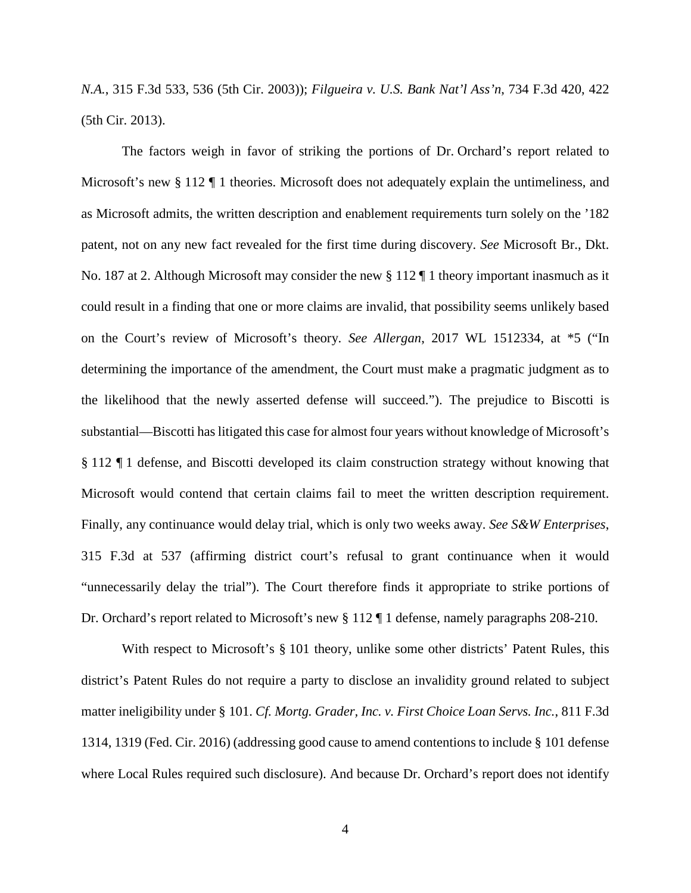*N.A.*, 315 F.3d 533, 536 (5th Cir. 2003)); *Filgueira v. U.S. Bank Nat'l Ass'n*, 734 F.3d 420, 422 (5th Cir. 2013).

The factors weigh in favor of striking the portions of Dr. Orchard's report related to Microsoft's new § 112 ¶ 1 theories. Microsoft does not adequately explain the untimeliness, and as Microsoft admits, the written description and enablement requirements turn solely on the '182 patent, not on any new fact revealed for the first time during discovery. *See* Microsoft Br., Dkt. No. 187 at 2. Although Microsoft may consider the new § 112 ¶ 1 theory important inasmuch as it could result in a finding that one or more claims are invalid, that possibility seems unlikely based on the Court's review of Microsoft's theory. *See Allergan*, 2017 WL 1512334, at \*5 ("In determining the importance of the amendment, the Court must make a pragmatic judgment as to the likelihood that the newly asserted defense will succeed."). The prejudice to Biscotti is substantial—Biscotti has litigated this case for almost four years without knowledge of Microsoft's § 112 ¶ 1 defense, and Biscotti developed its claim construction strategy without knowing that Microsoft would contend that certain claims fail to meet the written description requirement. Finally, any continuance would delay trial, which is only two weeks away. *See S&W Enterprises*, 315 F.3d at 537 (affirming district court's refusal to grant continuance when it would "unnecessarily delay the trial"). The Court therefore finds it appropriate to strike portions of Dr. Orchard's report related to Microsoft's new § 112 ¶ 1 defense, namely paragraphs 208-210.

With respect to Microsoft's § 101 theory, unlike some other districts' Patent Rules, this district's Patent Rules do not require a party to disclose an invalidity ground related to subject matter ineligibility under § 101. *Cf. Mortg. Grader, Inc. v. First Choice Loan Servs. Inc.*, 811 F.3d 1314, 1319 (Fed. Cir. 2016) (addressing good cause to amend contentions to include § 101 defense where Local Rules required such disclosure). And because Dr. Orchard's report does not identify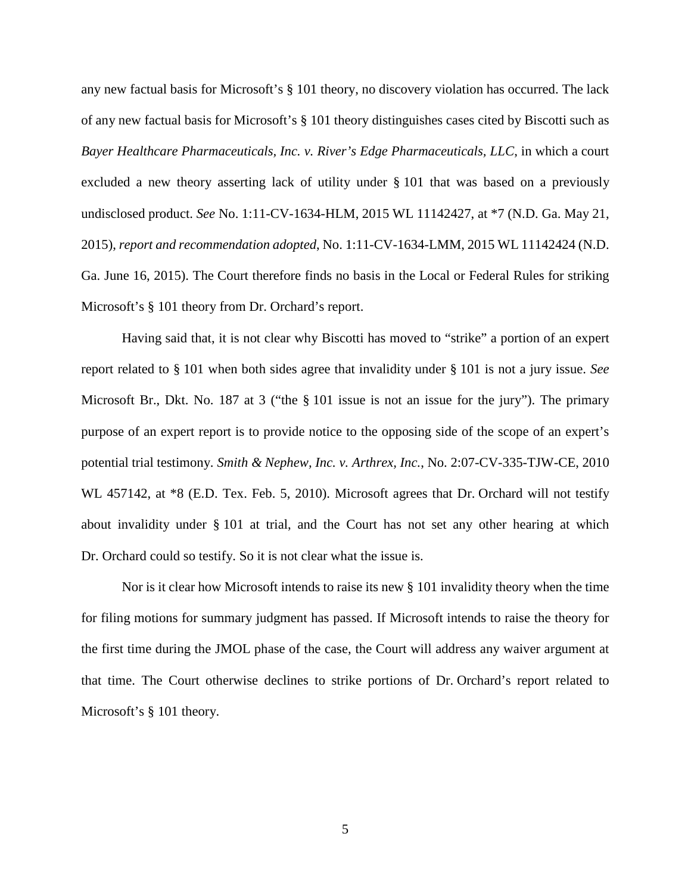any new factual basis for Microsoft's § 101 theory, no discovery violation has occurred. The lack of any new factual basis for Microsoft's § 101 theory distinguishes cases cited by Biscotti such as *Bayer Healthcare Pharmaceuticals, Inc. v. River's Edge Pharmaceuticals, LLC*, in which a court excluded a new theory asserting lack of utility under § 101 that was based on a previously undisclosed product. *See* No. 1:11-CV-1634-HLM, 2015 WL 11142427, at \*7 (N.D. Ga. May 21, 2015), *report and recommendation adopted*, No. 1:11-CV-1634-LMM, 2015 WL 11142424 (N.D. Ga. June 16, 2015). The Court therefore finds no basis in the Local or Federal Rules for striking Microsoft's § 101 theory from Dr. Orchard's report.

Having said that, it is not clear why Biscotti has moved to "strike" a portion of an expert report related to § 101 when both sides agree that invalidity under § 101 is not a jury issue. *See* Microsoft Br., Dkt. No. 187 at 3 ("the § 101 issue is not an issue for the jury"). The primary purpose of an expert report is to provide notice to the opposing side of the scope of an expert's potential trial testimony. *Smith & Nephew, Inc. v. Arthrex, Inc.*, No. 2:07-CV-335-TJW-CE, 2010 WL 457142, at  $*8$  (E.D. Tex. Feb. 5, 2010). Microsoft agrees that Dr. Orchard will not testify about invalidity under § 101 at trial, and the Court has not set any other hearing at which Dr. Orchard could so testify. So it is not clear what the issue is.

Nor is it clear how Microsoft intends to raise its new § 101 invalidity theory when the time for filing motions for summary judgment has passed. If Microsoft intends to raise the theory for the first time during the JMOL phase of the case, the Court will address any waiver argument at that time. The Court otherwise declines to strike portions of Dr. Orchard's report related to Microsoft's § 101 theory.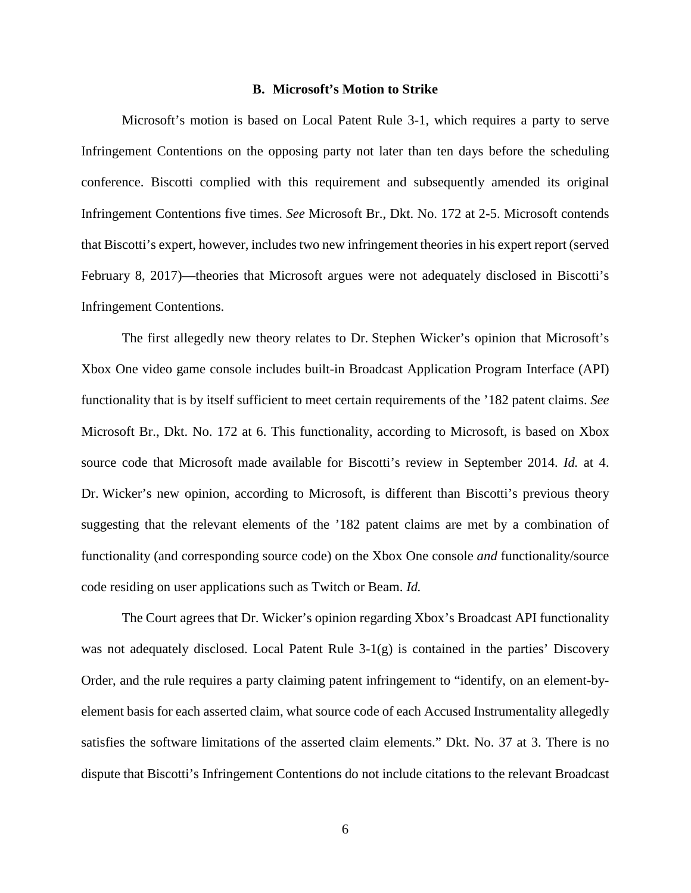#### **B. Microsoft's Motion to Strike**

Microsoft's motion is based on Local Patent Rule 3-1, which requires a party to serve Infringement Contentions on the opposing party not later than ten days before the scheduling conference. Biscotti complied with this requirement and subsequently amended its original Infringement Contentions five times. *See* Microsoft Br., Dkt. No. 172 at 2-5. Microsoft contends that Biscotti's expert, however, includes two new infringement theories in his expert report (served February 8, 2017)—theories that Microsoft argues were not adequately disclosed in Biscotti's Infringement Contentions.

The first allegedly new theory relates to Dr. Stephen Wicker's opinion that Microsoft's Xbox One video game console includes built-in Broadcast Application Program Interface (API) functionality that is by itself sufficient to meet certain requirements of the '182 patent claims. *See* Microsoft Br., Dkt. No. 172 at 6. This functionality, according to Microsoft, is based on Xbox source code that Microsoft made available for Biscotti's review in September 2014. *Id.* at 4. Dr. Wicker's new opinion, according to Microsoft, is different than Biscotti's previous theory suggesting that the relevant elements of the '182 patent claims are met by a combination of functionality (and corresponding source code) on the Xbox One console *and* functionality/source code residing on user applications such as Twitch or Beam. *Id.*

The Court agrees that Dr. Wicker's opinion regarding Xbox's Broadcast API functionality was not adequately disclosed. Local Patent Rule  $3-1(g)$  is contained in the parties' Discovery Order, and the rule requires a party claiming patent infringement to "identify, on an element-byelement basis for each asserted claim, what source code of each Accused Instrumentality allegedly satisfies the software limitations of the asserted claim elements." Dkt. No. 37 at 3. There is no dispute that Biscotti's Infringement Contentions do not include citations to the relevant Broadcast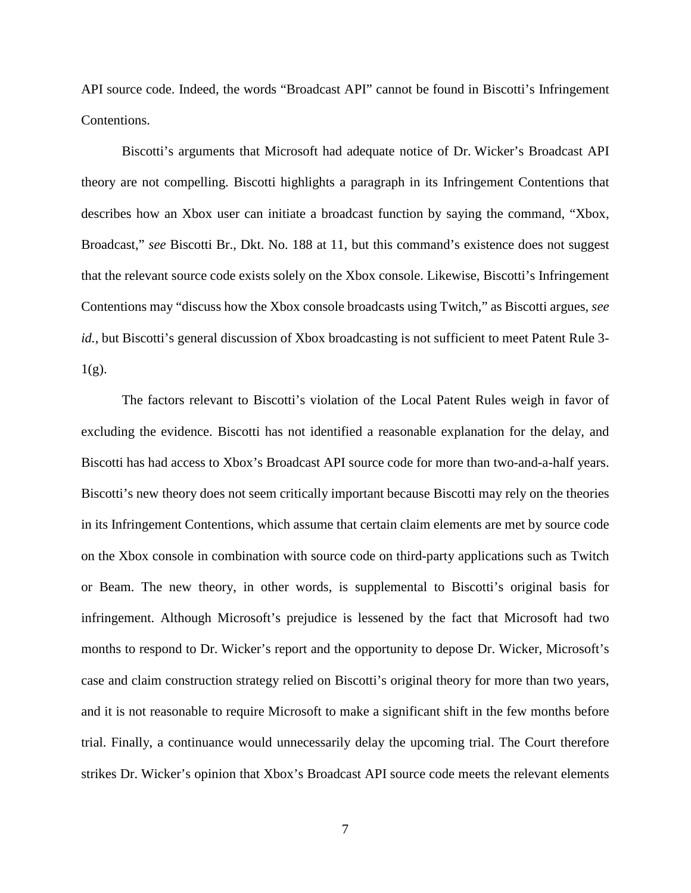API source code. Indeed, the words "Broadcast API" cannot be found in Biscotti's Infringement Contentions.

Biscotti's arguments that Microsoft had adequate notice of Dr. Wicker's Broadcast API theory are not compelling. Biscotti highlights a paragraph in its Infringement Contentions that describes how an Xbox user can initiate a broadcast function by saying the command, "Xbox, Broadcast," *see* Biscotti Br., Dkt. No. 188 at 11, but this command's existence does not suggest that the relevant source code exists solely on the Xbox console. Likewise, Biscotti's Infringement Contentions may "discuss how the Xbox console broadcasts using Twitch," as Biscotti argues, *see id.*, but Biscotti's general discussion of Xbox broadcasting is not sufficient to meet Patent Rule 3- $1(g)$ .

The factors relevant to Biscotti's violation of the Local Patent Rules weigh in favor of excluding the evidence. Biscotti has not identified a reasonable explanation for the delay, and Biscotti has had access to Xbox's Broadcast API source code for more than two-and-a-half years. Biscotti's new theory does not seem critically important because Biscotti may rely on the theories in its Infringement Contentions, which assume that certain claim elements are met by source code on the Xbox console in combination with source code on third-party applications such as Twitch or Beam. The new theory, in other words, is supplemental to Biscotti's original basis for infringement. Although Microsoft's prejudice is lessened by the fact that Microsoft had two months to respond to Dr. Wicker's report and the opportunity to depose Dr. Wicker, Microsoft's case and claim construction strategy relied on Biscotti's original theory for more than two years, and it is not reasonable to require Microsoft to make a significant shift in the few months before trial. Finally, a continuance would unnecessarily delay the upcoming trial. The Court therefore strikes Dr. Wicker's opinion that Xbox's Broadcast API source code meets the relevant elements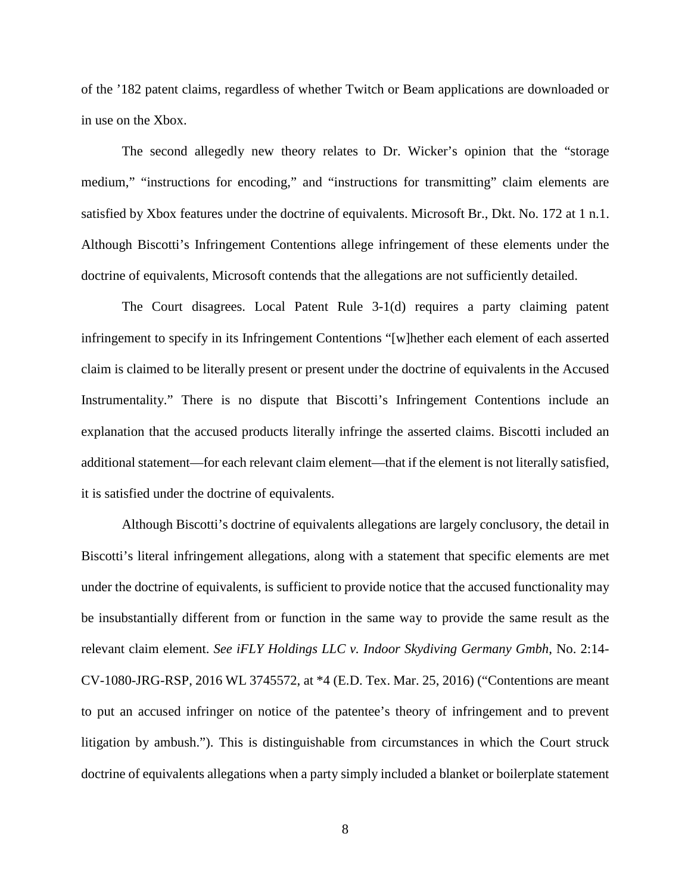of the '182 patent claims, regardless of whether Twitch or Beam applications are downloaded or in use on the Xbox.

The second allegedly new theory relates to Dr. Wicker's opinion that the "storage medium," "instructions for encoding," and "instructions for transmitting" claim elements are satisfied by Xbox features under the doctrine of equivalents. Microsoft Br., Dkt. No. 172 at 1 n.1. Although Biscotti's Infringement Contentions allege infringement of these elements under the doctrine of equivalents, Microsoft contends that the allegations are not sufficiently detailed.

The Court disagrees. Local Patent Rule 3-1(d) requires a party claiming patent infringement to specify in its Infringement Contentions "[w]hether each element of each asserted claim is claimed to be literally present or present under the doctrine of equivalents in the Accused Instrumentality." There is no dispute that Biscotti's Infringement Contentions include an explanation that the accused products literally infringe the asserted claims. Biscotti included an additional statement—for each relevant claim element—that if the element is not literally satisfied, it is satisfied under the doctrine of equivalents.

Although Biscotti's doctrine of equivalents allegations are largely conclusory, the detail in Biscotti's literal infringement allegations, along with a statement that specific elements are met under the doctrine of equivalents, is sufficient to provide notice that the accused functionality may be insubstantially different from or function in the same way to provide the same result as the relevant claim element. *See iFLY Holdings LLC v. Indoor Skydiving Germany Gmbh*, No. 2:14- CV-1080-JRG-RSP, 2016 WL 3745572, at \*4 (E.D. Tex. Mar. 25, 2016) ("Contentions are meant to put an accused infringer on notice of the patentee's theory of infringement and to prevent litigation by ambush."). This is distinguishable from circumstances in which the Court struck doctrine of equivalents allegations when a party simply included a blanket or boilerplate statement